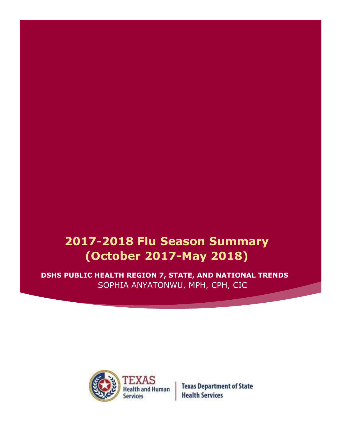# **2017-2018 Flu Season Summary (October 2017-May 2018)**

**DSHS PUBLIC HEALTH REGION 7, STATE, AND NATIONAL TRENDS** SOPHIA ANYATONWU, MPH, CPH, CIC



**Texas Department of State Health Services**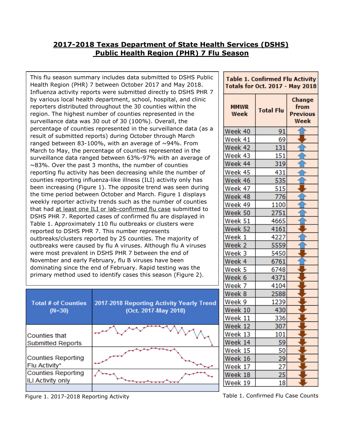## **2017-2018 Texas Department of State Health Services (DSHS) Public Health Region (PHR) 7 Flu Season**

been increasing (Figure 1). The opposite trend was seen during the time period between October and March. Figure 1 displays This flu season summary includes data submitted to DSHS Public Health Region (PHR) 7 between October 2017 and May 2018. Influenza activity reports were submitted directly to DSHS PHR 7 by various local health department, school, hospital, and clinic reporters distributed throughout the 30 counties within the region. The highest number of counties represented in the surveillance data was 30 out of 30 (100%). Overall, the percentage of counties represented in the surveillance data (as a result of submitted reports) during October through March ranged between 83-100%, with an average of  $\sim$ 94%. From March to May, the percentage of counties represented in the surveillance data ranged between 63%-97% with an average of ~83%. Over the past 3 months, the number of counties reporting flu activity has been decreasing while the number of counties reporting influenza-like illness (ILI) activity only has weekly reporter activity trends such as the number of counties that had at least one ILI or lab-confirmed flu case submitted to DSHS PHR 7. Reported cases of confirmed flu are displayed in Table 1. Approximately 110 flu outbreaks or clusters were reported to DSHS PHR 7. This number represents outbreaks/clusters reported by 25 counties. The majority of outbreaks were caused by flu A viruses. Although flu A viruses were most prevalent in DSHS PHR 7 between the end of November and early February, flu B viruses have been dominating since the end of February. Rapid testing was the primary method used to identify cases this season (Figure 2).

| <b>Total # of Counties</b><br>$(N=30)$                | 2017-2018 Reporting Activity Yearly Trend<br>(Oct. 2017-May 2018) |  |
|-------------------------------------------------------|-------------------------------------------------------------------|--|
| <b>Counties that</b><br><b>Submitted Reports</b>      |                                                                   |  |
| <b>Counties Reporting</b><br>Flu Activity*            |                                                                   |  |
| <b>Counties Reporting</b><br><b>ILI Activity only</b> |                                                                   |  |
|                                                       |                                                                   |  |

Figure 1. 2017-2018 Reporting Activity

| Table 1. Confirmed Flu Activity |  |
|---------------------------------|--|
| Totals for Oct. 2017 - May 2018 |  |

| <b>MMWR</b><br>Week | <b>Total Flu</b> | Change<br>from<br>Previous<br>Week |
|---------------------|------------------|------------------------------------|
| Week 40             | 91               |                                    |
| Week 41             | 69               |                                    |
| Week 42             | 131              |                                    |
| Week 43             | 151              |                                    |
| Week 44             | 319              |                                    |
| Week 45             | 431              |                                    |
| Week 46             | 535              |                                    |
| Week 47             | 515              |                                    |
| Week 48             | 776              |                                    |
| Week 49             | 1100             |                                    |
| Week 50             | 2751             |                                    |
| Week 51             | 4665             |                                    |
| Week 52             | 4161             |                                    |
| Week 1              | 4227             |                                    |
| Week 2              | 5559             |                                    |
| Week 3              | 5450             |                                    |
| Week 4              | 6761             |                                    |
| Week 5              | 6748             |                                    |
| Week 6              | 4371             |                                    |
| Week 7              | 4104             |                                    |
| Week 8              | 2588             |                                    |
| Week 9              | 1239             |                                    |
| Week 10             | 430              |                                    |
| Week 11             | 336              |                                    |
| Week 12             | 307              |                                    |
| Week 13             | 101              |                                    |
| Week 14             | 59 l             |                                    |
| Week 15             | 50               |                                    |
| Week 16             | 29               |                                    |
| Week 17             |                  |                                    |
| Week 18             | $\frac{27}{25}$  |                                    |
| Week 19             | 18               |                                    |

Table 1. Confirmed Flu Case Counts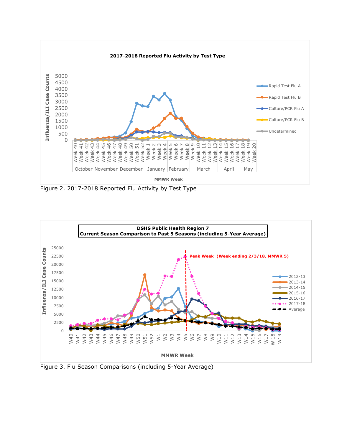

Figure 2. 2017-2018 Reported Flu Activity by Test Type



Figure 3. Flu Season Comparisons (including 5-Year Average)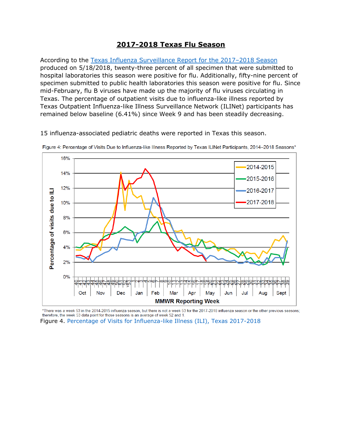### **2017-2018 Texas Flu Season**

According to the [Texas Influenza Surveillance Report](https://www.dshs.texas.gov/IDCU/disease/influenza/surveillance/2017---2018-Texas-Influenza-Surveillance-Activity-Report.aspx) for the 2017–2018 Season produced on 5/18/2018, twenty-three percent of all specimen that were submitted to hospital laboratories this season were positive for flu. Additionally, fifty-nine percent of specimen submitted to public health laboratories this season were positive for flu. Since mid-February, flu B viruses have made up the majority of flu viruses circulating in Texas. The percentage of outpatient visits due to influenza-like illness reported by Texas Outpatient Influenza-like Illness Surveillance Network (ILINet) participants has remained below baseline (6.41%) since Week 9 and has been steadily decreasing.

15 influenza-associated pediatric deaths were reported in Texas this season.



Figure 4: Percentage of Visits Due to Influenza-like Illness Reported by Texas ILINet Participants, 2014-2018 Seasons\*

\*There was a week 53 in the 2014-2015 influenza season, but there is not a week 53 for the 2017-2018 influenza season or the other previous seasons; therefore, the week 53 data point for those seasons is an average of week 52 and 1.

Figure 4. [Percentage of Visits for Influenza-like Illness \(ILI\), Texas 2017-2018](https://www.dshs.texas.gov/IDCU/disease/influenza/surveillance/2017---2018-Texas-Influenza-Surveillance-Activity-Report.aspx)